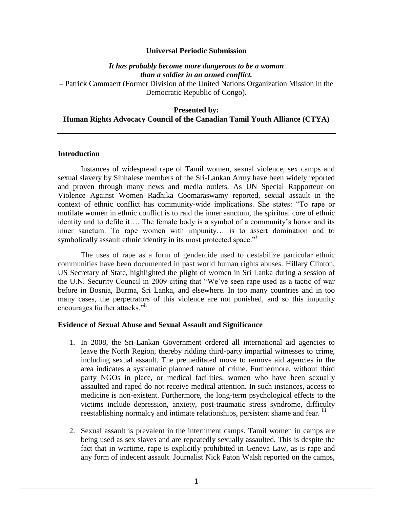### **Universal Periodic Submission**

# *It has probably become more dangerous to be a woman than a soldier in an armed conflict.*

**–** Patrick Cammaert (Former Division of the United Nations Organization Mission in the Democratic Republic of Congo).

#### **Presented by:**

### **Human Rights Advocacy Council of the Canadian Tamil Youth Alliance (CTYA)**

### **Introduction**

Instances of widespread rape of Tamil women, sexual violence, sex camps and sexual slavery by Sinhalese members of the Sri-Lankan Army have been widely reported and proven through many news and media outlets. As UN Special Rapporteur on Violence Against Women Radhika Coomaraswamy reported, sexual assault in the context of ethnic conflict has community-wide implications. She states: "To rape or mutilate women in ethnic conflict is to raid the inner sanctum, the spiritual core of ethnic identity and to defile it…. The female body is a symbol of a community's honor and its inner sanctum. To rape women with impunity… is to assert domination and to symbolically assault ethnic identity in its most protected space."

The uses of rape as a form of gendercide used to destabilize particular ethnic communities have been documented in past world human rights abuses. Hillary Clinton, US Secretary of State, highlighted the plight of women in Sri Lanka during a session of the U.N. Security Council in 2009 citing that "We've seen rape used as a tactic of war before in Bosnia, Burma, Sri Lanka, and elsewhere. In too many countries and in too many cases, the perpetrators of this violence are not punished, and so this impunity encourages further attacks."<sup>ii</sup>

#### **Evidence of Sexual Abuse and Sexual Assault and Significance**

- 1. In 2008, the Sri-Lankan Government ordered all international aid agencies to leave the North Region, thereby ridding third-party impartial witnesses to crime, including sexual assault. The premeditated move to remove aid agencies in the area indicates a systematic planned nature of crime. Furthermore, without third party NGOs in place, or medical facilities, women who have been sexually assaulted and raped do not receive medical attention. In such instances, access to medicine is non-existent. Furthermore, the long-term psychological effects to the victims include depression, anxiety, post-traumatic stress syndrome, difficulty reestablishing normalcy and intimate relationships, persistent shame and fear.  $\overline{u}$
- 2. Sexual assault is prevalent in the internment camps. Tamil women in camps are being used as sex slaves and are repeatedly sexually assaulted. This is despite the fact that in wartime, rape is explicitly prohibited in Geneva Law, as is rape and any form of indecent assault. Journalist Nick Paton Walsh reported on the camps,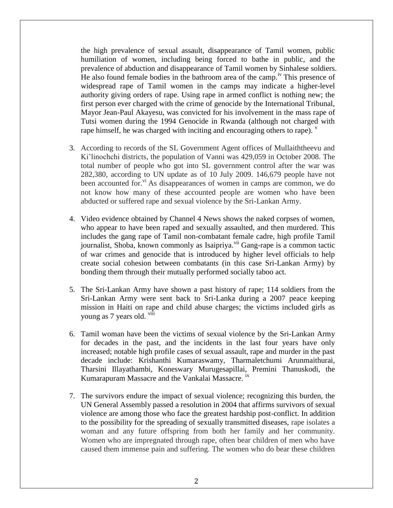the high prevalence of sexual assault, disappearance of Tamil women, public humiliation of women, including being forced to bathe in public, and the prevalence of abduction and disappearance of Tamil women by Sinhalese soldiers. He also found female bodies in the bathroom area of the camp.<sup>iv</sup> This presence of widespread rape of Tamil women in the camps may indicate a higher-level authority giving orders of rape. Using rape in armed conflict is nothing new; the first person ever charged with the crime of genocide by the International Tribunal, Mayor Jean-Paul Akayesu, was convicted for his involvement in the mass rape of Tutsi women during the 1994 Genocide in Rwanda (although not charged with rape himself, he was charged with inciting and encouraging others to rape).  $\overline{v}$ 

- 3. According to records of the SL Government Agent offices of Mullaiththeevu and Ki'linochchi districts, the population of Vanni was 429,059 in October 2008. The total number of people who got into SL government control after the war was 282,380, according to UN update as of 10 July 2009. 146,679 people have not been accounted for. $v_i$ <sup>xi</sup> As disappearances of women in camps are common, we do not know how many of these accounted people are women who have been abducted or suffered rape and sexual violence by the Sri-Lankan Army.
- 4. Video evidence obtained by Channel 4 News shows the naked corpses of women, who appear to have been raped and sexually assaulted, and then murdered. This includes the gang rape of Tamil non-combatant female cadre, high profile Tamil journalist, Shoba, known commonly as Isaipriya. $\overline{v}^{ii}$  Gang-rape is a common tactic of war crimes and genocide that is introduced by higher level officials to help create social cohesion between combatants (in this case Sri-Lankan Army) by bonding them through their mutually performed socially taboo act.
- 5. The Sri-Lankan Army have shown a past history of rape; 114 soldiers from the Sri-Lankan Army were sent back to Sri-Lanka during a 2007 peace keeping mission in Haiti on rape and child abuse charges; the victims included girls as young as 7 years old. vili-
- 6. Tamil woman have been the victims of sexual violence by the Sri-Lankan Army for decades in the past, and the incidents in the last four years have only increased; notable high profile cases of sexual assault, rape and murder in the past decade include: Krishanthi Kumaraswamy, Tharmaletchumi Arunmaithurai, Tharsini Illayathambi, Koneswary Murugesapillai, Premini Thanuskodi, the Kumarapuram Massacre and the Vankalai Massacre.<sup>1X</sup>
- 7. The survivors endure the impact of sexual violence; recognizing this burden, the UN General Assembly passed a resolution in 2004 that affirms survivors of sexual violence are among those who face the greatest hardship post-conflict. In addition to the possibility for the spreading of sexually transmitted diseases, rape isolates a woman and any future offspring from both her family and her community. Women who are impregnated through rape, often bear children of men who have caused them immense pain and suffering. The women who do bear these children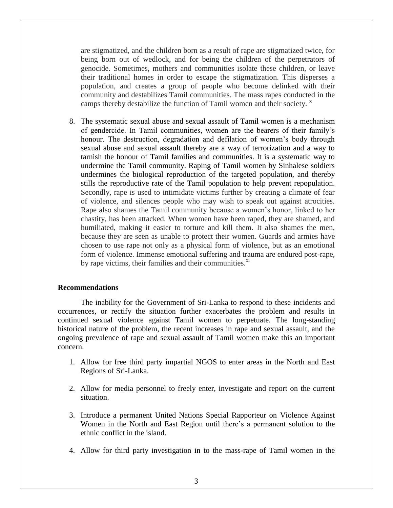are stigmatized, and the children born as a result of rape are stigmatized twice, for being born out of wedlock, and for being the children of the perpetrators of genocide. Sometimes, mothers and communities isolate these children, or leave their traditional homes in order to escape the stigmatization. This disperses a population, and creates a group of people who become delinked with their community and destabilizes Tamil communities. The mass rapes conducted in the camps thereby destabilize the function of Tamil women and their society.  $x^2$ 

8. The systematic sexual abuse and sexual assault of Tamil women is a mechanism of gendercide. In Tamil communities, women are the bearers of their family's honour. The destruction, degradation and defilation of women's body through sexual abuse and sexual assault thereby are a way of terrorization and a way to tarnish the honour of Tamil families and communities. It is a systematic way to undermine the Tamil community. Raping of Tamil women by Sinhalese soldiers undermines the biological reproduction of the targeted population, and thereby stills the reproductive rate of the Tamil population to help prevent repopulation. Secondly, rape is used to intimidate victims further by creating a climate of fear of violence, and silences people who may wish to speak out against atrocities. Rape also shames the Tamil community because a women's honor, linked to her chastity, has been attacked. When women have been raped, they are shamed, and humiliated, making it easier to torture and kill them. It also shames the men, because they are seen as unable to protect their women. Guards and armies have chosen to use rape not only as a physical form of violence, but as an emotional form of violence. Immense emotional suffering and trauma are endured post-rape, by rape victims, their families and their communities. $^{x_i}$ 

### **Recommendations**

The inability for the Government of Sri-Lanka to respond to these incidents and occurrences, or rectify the situation further exacerbates the problem and results in continued sexual violence against Tamil women to perpetuate. The long-standing historical nature of the problem, the recent increases in rape and sexual assault, and the ongoing prevalence of rape and sexual assault of Tamil women make this an important concern.

- 1. Allow for free third party impartial NGOS to enter areas in the North and East Regions of Sri-Lanka.
- 2. Allow for media personnel to freely enter, investigate and report on the current situation.
- 3. Introduce a permanent United Nations Special Rapporteur on Violence Against Women in the North and East Region until there's a permanent solution to the ethnic conflict in the island.
- 4. Allow for third party investigation in to the mass-rape of Tamil women in the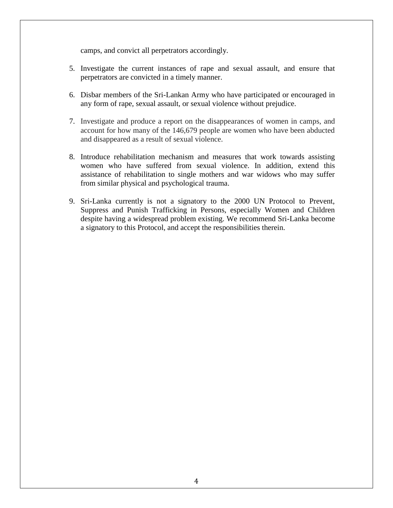camps, and convict all perpetrators accordingly.

- 5. Investigate the current instances of rape and sexual assault, and ensure that perpetrators are convicted in a timely manner.
- 6. Disbar members of the Sri-Lankan Army who have participated or encouraged in any form of rape, sexual assault, or sexual violence without prejudice.
- 7. Investigate and produce a report on the disappearances of women in camps, and account for how many of the 146,679 people are women who have been abducted and disappeared as a result of sexual violence.
- 8. Introduce rehabilitation mechanism and measures that work towards assisting women who have suffered from sexual violence. In addition, extend this assistance of rehabilitation to single mothers and war widows who may suffer from similar physical and psychological trauma.
- 9. Sri-Lanka currently is not a signatory to the 2000 UN Protocol to Prevent, Suppress and Punish Trafficking in Persons, especially Women and Children despite having a widespread problem existing. We recommend Sri-Lanka become a signatory to this Protocol, and accept the responsibilities therein.